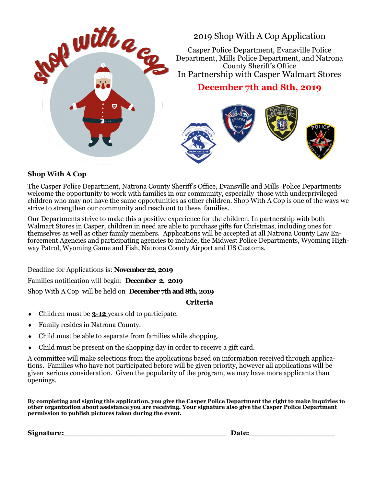

## **Shop With A Cop**

The Casper Police Department, Natrona County Sheriff's Office, Evansville and Mills Police Departments welcome the opportunity to work with families in our community, especially those with underprivileged children who may not have the same opportunities as other children. Shop With A Cop is one of the ways we strive to strengthen our community and reach out to these families.

Our Departments strive to make this a positive experience for the children. In partnership with both Walmart Stores in Casper, children in need are able to purchase gifts for Christmas, including ones for themselves as well as other family members. Applications will be accepted at all Natrona County Law Enforcement Agencies and participating agencies to include, the Midwest Police Departments, Wyoming Highway Patrol, Wyoming Game and Fish, Natrona County Airport and US Customs.

Deadline for Applications is: **November 22, 2019** Families notification will begin: **December 2, 2019** Shop With A Cop will be held on **December 7th and 8th, 2019**

**Criteria**

- Children must be **3-12** years old to participate.
- Family resides in Natrona County.
- Child must be able to separate from families while shopping.
- Child must be present on the shopping day in order to receive a gift card.

A committee will make selections from the applications based on information received through applications. Families who have not participated before will be given priority, however all applications will be given serious consideration. Given the popularity of the program, we may have more applicants than openings.

**By completing and signing this application, you give the Casper Police Department the right to make inquiries to other organization about assistance you are receiving. Your signature also give the Casper Police Department permission to publish pictures taken during the event.**

**Signature:** The contraction of the contraction of the contraction of the contraction of  $\mathbf{Date}$ :